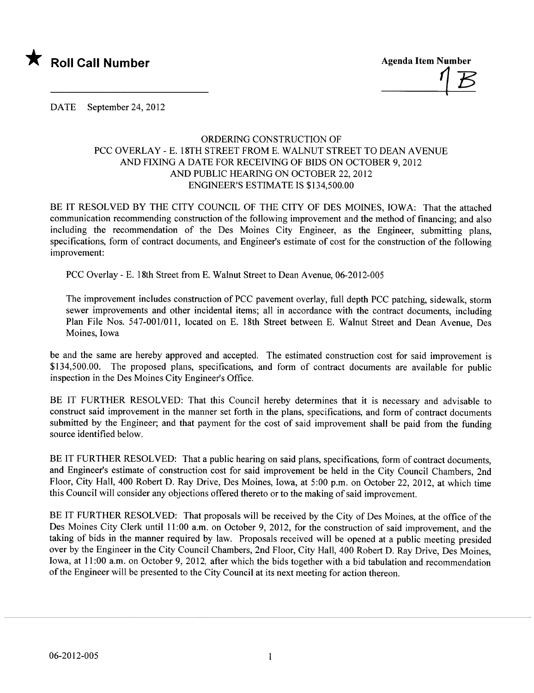

 $\frac{1}{\sqrt{2}}$ 

DATE September 24, 2012

## ORDERING CONSTRUCTION OF PCC OVERLAY - E. 18TH STREET FROM E. WALNUT STREET TO DEAN AVENUE AND FIXING A DATE FOR RECEIVING OF BIDS ON OCTOBER 9, 2012 AND PUBLIC HEARING ON OCTOBER 22, 2012 ENGINEER'S ESTIMATE IS \$134,500.00

BE IT RESOLVED BY THE CITY COUNCIL OF THE CITY OF DES MOINES, IOWA: That the attached communication recommending construction of the following improvement and the method of financing; and also including the recommendation of the Des Moines City Engineer, as the Engineer, submitting plans, specifications, form of contract documents, and Engineer's estimate of cost for the construction of the following improvement:

PCC Overlay - E. 18th Street from E. Walnut Street to Dean Avenue, 06-2012-005

The improvement includes construction of PCC pavement overlay, full depth PCC patching, sidewalk, storm sewer improvements and other incidental items; all in accordance with the contract documents, including Plan File Nos. 547-001/011, located on E. 18th Street between E. Walnut Street and Dean Avenue, Des Moines, Iowa

be and the same are hereby approved and accepted. The estimated construction cost for said improvement is \$134,500.00. The proposed plans, specifications, and form of contract documents are available for public inspection in the Des Moines City Engineer's Office.

BE IT FURTHER RESOLVED: That this Council hereby determines that it is necessary and advisable to construct said improvement in the manner set forth in the plans, specifications, and form of contract documents submitted by the Engineer; and that payment for the cost of said improvement shall be paid from the funding source identified below.

BE IT FURTHER RESOLVED: That a public hearing on said plans, specifications, form of contract documents, and Engineer's estimate of construction cost for said improvement be held in the City Council Chambers, 2nd Floor, City Hall, 400 Robert D. Ray Drive, Des Moines, Iowa, at 5:00 p.m. on October 22,2012, at which time this Council will consider any objections offered thereto or to the making of said improvement.

BE IT FURTHER RESOLVED: That proposals will be received by the City of Des Moines, at the office of the Des Moines City Clerk until 11:00 a.m. on October 9, 2012, for the construction of said improvement, and the taking of bids in the manner required by law. Proposals received wil be opened at a public meeting presided over by the Engineer in the City Council Chambers, 2nd Floor, City Hall, 400 Robert D. Ray Drive, Des Moines, Iowa, at 11:00 a.m. on October 9, 2012, after which the bids together with a bid tabulation and recommendation of the Engineer wil be presented to the City Council at its next meeting for action thereon.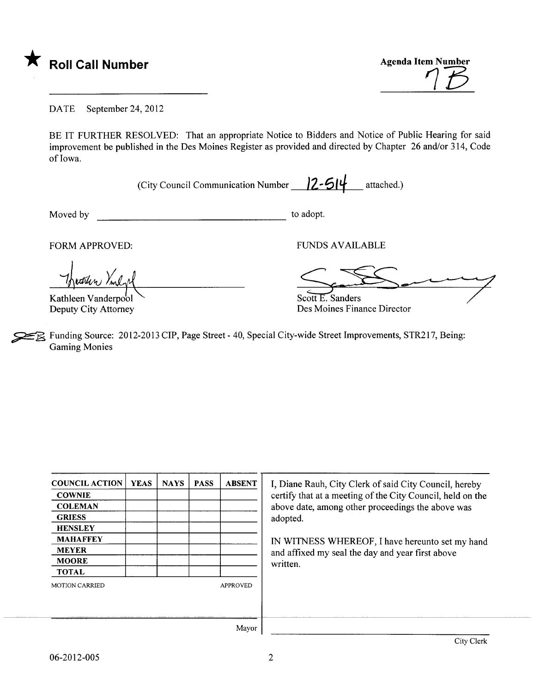

 $\eta$  $\overline{t}$ 

DATE September 24, 2012

BE IT FURTHER RESOLVED: That an appropriate Notice to Bidders and Notice of Public Hearing for said improvement be published in the Des Moines Register as provided and directed by Chapter 26 and/or 314, Code of Iowa.

(City Council Communication Number  $\frac{2-514}{\pi}$  attached.)

Moved by to adopt.

Theatern Vinlal

Kathleen Vanderpool

FORM APPROVED: TUNDS AVAILABLE

Scott E. Sanders<br>Des Moines Finance Director

Deputy City Attorney Des Moines Finance Director

FR Funding Source: 2012-2013 CIP, Page Street - 40, Special City-wide Street Improvements, STR217, Being: Gaming Monies

| <b>COUNCIL ACTION</b> | <b>YEAS</b> | <b>NAYS</b> | <b>PASS</b> | <b>ABSENT</b>   | I, Diane Rauh, City Clerk of said City Council, hereby     |
|-----------------------|-------------|-------------|-------------|-----------------|------------------------------------------------------------|
| <b>COWNIE</b>         |             |             |             |                 | certify that at a meeting of the City Council, held on the |
| <b>COLEMAN</b>        |             |             |             |                 | above date, among other proceedings the above was          |
| <b>GRIESS</b>         |             |             |             |                 | adopted.                                                   |
| <b>HENSLEY</b>        |             |             |             |                 |                                                            |
| <b>MAHAFFEY</b>       |             |             |             |                 | IN WITNESS WHEREOF, I have hereunto set my hand            |
| <b>MEYER</b>          |             |             |             |                 | and affixed my seal the day and year first above           |
| <b>MOORE</b>          |             |             |             |                 | written.                                                   |
| <b>TOTAL</b>          |             |             |             |                 |                                                            |
| <b>MOTION CARRIED</b> |             |             |             | <b>APPROVED</b> |                                                            |
|                       |             |             |             |                 |                                                            |
|                       |             |             |             |                 |                                                            |
|                       |             |             |             |                 |                                                            |
|                       |             |             |             | Mayor           |                                                            |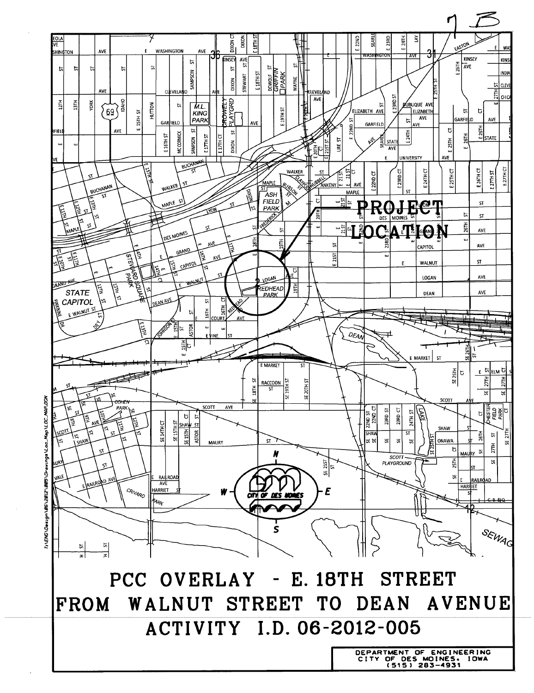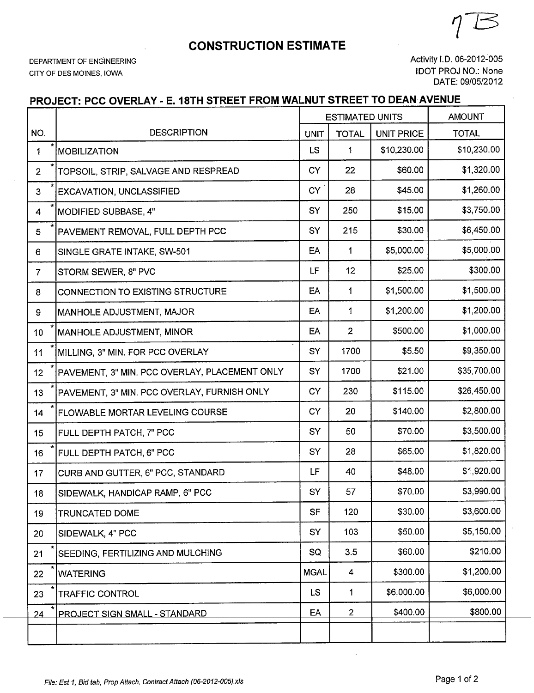## **CONSTRUCTION ESTIMATE**

DEPARTMENT OF ENGINEERING CITY OF DES MOINES, IOWA

Activity I.D. 06-2012-005 **IDOT PROJ NO.: None** DATE: 09/05/2012

## PROJECT: PCC OVERLAY - E. 18TH STREET FROM WALNUT STREET TO DEAN AVENUE

|                |                                               |             | <b>ESTIMATED UNITS</b> | <b>AMOUNT</b>     |              |
|----------------|-----------------------------------------------|-------------|------------------------|-------------------|--------------|
| NO.            | <b>DESCRIPTION</b>                            | <b>UNIT</b> | <b>TOTAL</b>           | <b>UNIT PRICE</b> | <b>TOTAL</b> |
| 1              | <b>MOBILIZATION</b>                           |             | 1                      | \$10,230.00       | \$10,230.00  |
| $\overline{2}$ | TOPSOIL, STRIP, SALVAGE AND RESPREAD          |             | 22                     | \$60.00           | \$1,320.00   |
| $\overline{3}$ | <b>EXCAVATION, UNCLASSIFIED</b>               |             | 28                     | \$45.00           | \$1,260.00   |
| 4              | <b>MODIFIED SUBBASE, 4"</b>                   |             | 250                    | \$15.00           | \$3,750.00   |
| 5              | PAVEMENT REMOVAL, FULL DEPTH PCC              |             | 215                    | \$30.00           | \$6,450.00   |
| 6              | SINGLE GRATE INTAKE, SW-501                   |             | 1                      | \$5,000.00        | \$5,000.00   |
| $\overline{7}$ | STORM SEWER, 8" PVC                           |             | 12                     | \$25.00           | \$300.00     |
| 8              | CONNECTION TO EXISTING STRUCTURE              |             | 1                      | \$1,500.00        | \$1,500.00   |
| 9              | MANHOLE ADJUSTMENT, MAJOR                     | EA          | 1                      | \$1,200.00        | \$1,200.00   |
| 10             | MANHOLE ADJUSTMENT, MINOR                     | EA          | $\overline{2}$         | \$500.00          | \$1,000.00   |
| 11             | MILLING, 3" MIN. FOR PCC OVERLAY              | SY          | 1700                   | \$5.50            | \$9,350.00   |
| 12             | PAVEMENT, 3" MIN. PCC OVERLAY, PLACEMENT ONLY | SY          | 1700                   | \$21.00           | \$35,700.00  |
| 13             | PAVEMENT, 3" MIN. PCC OVERLAY, FURNISH ONLY   | <b>CY</b>   | 230                    | \$115.00          | \$26,450.00  |
| 14             | <b>FLOWABLE MORTAR LEVELING COURSE</b>        | <b>CY</b>   | 20                     | \$140.00          | \$2,800.00   |
| 15             | FULL DEPTH PATCH, 7" PCC                      | SY          | 50                     | \$70.00           | \$3,500.00   |
| 16             | FULL DEPTH PATCH, 6" PCC                      | SY          | 28                     | \$65.00           | \$1,820.00   |
| 17             | CURB AND GUTTER, 6" PCC, STANDARD             | LF          | 40                     | \$48.00           | \$1,920.00   |
| 18             | SIDEWALK, HANDICAP RAMP, 6" PCC               | SY          | 57                     | \$70.00           | \$3,990.00   |
| 19             | <b>TRUNCATED DOME</b>                         | <b>SF</b>   | 120                    | \$30.00           | \$3,600.00   |
| 20             | SIDEWALK, 4" PCC                              | SY          | 103                    | \$50.00           | \$5,150.00   |
| 21             | SEEDING, FERTILIZING AND MULCHING             | SQ          | 3.5                    | \$60.00           | \$210.00     |
| 22             | <b>WATERING</b>                               | <b>MGAL</b> | 4                      | \$300.00          | \$1,200.00   |
| 23             | <b>TRAFFIC CONTROL</b>                        | <b>LS</b>   | 1                      | \$6,000.00        | \$6,000.00   |
| 24             | PROJECT SIGN SMALL - STANDARD                 | EA          | $\overline{2}$         | \$400.00          | \$800.00     |
|                |                                               |             |                        |                   |              |